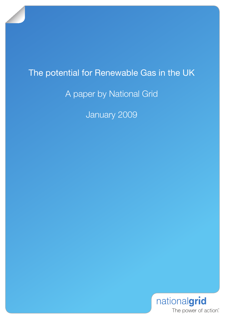# The potential for Renewable Gas in the UK

## A paper by National Grid

January 2009

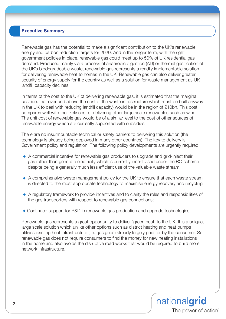#### **Executive Summary**

Renewable gas has the potential to make a significant contribution to the UK's renewable energy and carbon reduction targets for 2020. And in the longer term, with the right government policies in place, renewable gas could meet up to 50% of UK residential gas demand. Produced mainly via a process of anaerobic digestion (AD) or thermal gasification of the UK's biodegradeable waste, renewable gas represents a readily implementable solution for delivering renewable heat to homes in the UK. Renewable gas can also deliver greater security of energy supply for the country as well as a solution for waste management as UK landfill capacity declines.

In terms of the cost to the UK of delivering renewable gas, it is estimated that the marginal cost (i.e. that over and above the cost of the waste infrastructure which must be built anyway in the UK to deal with reducing landfill capacity) would be in the region of £10bn. This cost compares well with the likely cost of delivering other large scale renewables such as wind. The unit cost of renewable gas would be of a similar level to the cost of other sources of renewable energy which are currently supported with subsidies.

There are no insurmountable technical or safety barriers to delivering this solution (the technology is already being deployed in many other countries). The key to delivery is Government policy and regulation. The following policy developments are urgently required:

- ◆ A commercial incentive for renewable gas producers to upgrade and grid-inject their gas rather than generate electricity which is currently incentivised under the RO scheme despite being a generally much less efficient use of the valuable waste stream;
- $\triangle$  A comprehensive waste management policy for the UK to ensure that each waste stream is directed to the most appropriate technology to maximise energy recovery and recycling
- ◆ A regulatory framework to provide incentives and to clarify the roles and responsibilities of the gas transporters with respect to renewable gas connections;
- ◆ Continued support for R&D in renewable gas production and upgrade technologies.

Renewable gas represents a great opportunity to deliver 'green heat' to the UK. It is a unique, large scale solution which unlike other options such as district heating and heat pumps utilises existing heat infrastructure (i.e. gas grids) already largely paid for by the consumer. So renewable gas does not require consumers to find the money for new heating installations in the home and also avoids the disruptive road works that would be required to build more network infrastructure.

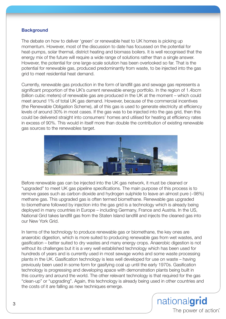### **Background**

The debate on how to deliver 'green' or renewable heat to UK homes is picking up momentum. However, most of the discussion to date has focussed on the potential for heat-pumps, solar thermal, district heating and biomass boilers. It is well recognised that the energy mix of the future will require a wide range of solutions rather than a single answer. However, the potential for one large-scale solution has been overlooked so far. That is the potential for renewable gas, produced predominantly from waste, to be injected into the gas grid to meet residential heat demand.

Currently, renewable gas production in the form of landfill gas and sewage gas represents a significant proportion of the UK's current renewable energy portfolio. In the region of 1.4bcm (billion cubic meters) of renewable gas are produced in the UK at the moment – which could meet around 1% of total UK gas demand. However, because of the commercial incentives (the Renewable Obligation Scheme), all of this gas is used to generate electricity at efficiency levels of around 30% in most cases. If the gas was to be injected into the gas grid, then this could be delivered straight into consumers' homes and utilised for heating at efficiency rates in excess of 90%. This would in itself more than double the contribution of existing renewable gas sources to the renewables target.



Before renewable gas can be injected into the UK gas network, it must be cleaned or "upgraded" to meet UK gas pipeline specifications. The main purpose of this process is to remove gases such as carbon dioxide and hydrogen sulphide to leave an almost pure (~98%) methane gas. This upgraded gas is often termed biomethane. Renewable gas upgraded to biomethane followed by injection into the gas grid is a technology which is already being deployed in many countries in Europe – including Germany, France and Austria. In the US, National Grid takes landfill gas from the Staten Island landfill and injects the cleaned gas into our New York Grid.

In terms of the technology to produce renewable gas or biomethane, the key ones are anaerobic digestion, which is more suited to producing renewable gas from wet wastes, and gasification – better suited to dry wastes and many energy crops. Anaerobic digestion is not without its challenges but it is a very well established technology which has been used for hundreds of years and is currently used in most sewage works and some waste processing plants in the UK. Gasification technology is less well developed for use on waste – having previously been used in some form for gasifying coal up until the early 1970s. Gasification technology is progressing and developing apace with demonstration plants being built in this country and around the world. The other relevant technology is that required for the gas "clean-up" or "upgrading". Again, this technology is already being used in other countries and the costs of it are falling as new techniques emerge.

> nationalgrid The power of action"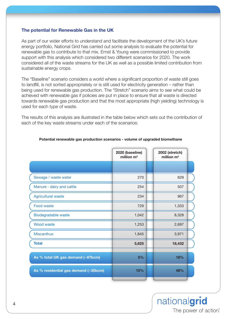#### **The potential for Renewable Gas in the UK**

As part of our wider efforts to understand and facilitate the development of the UK's future energy portfolio, National Grid has carried out some analysis to evaluate the potential for renewable gas to contribute to that mix. Ernst & Young were commissioned to provide support with this analysis which considered two different scenarios for 2020. The work considered all of the waste streams for the UK as well as a possible limited contribution from sustainable energy crops.

The "Baseline" scenario considers a world where a significant proportion of waste still goes to landfill, is not sorted appropriately or is still used for electricity generation – rather than being used for renewable gas production. The "Stretch" scenario aims to see what could be achieved with renewable gas if policies are put in place to ensure that all waste is directed towards renewable gas production and that the most appropriate (high yielding) technology is used for each type of waste.

The results of this analysis are illustrated in the table below which sets out the contribution of each of the key waste streams under each of the scenarios:

|                                      | 2020 (baseline)<br>million $m3$ | 2002 (stretch)<br>million $m3$ |  |
|--------------------------------------|---------------------------------|--------------------------------|--|
|                                      |                                 |                                |  |
| Sewage / waste water                 | 270                             | 629                            |  |
| Manure - dairy and cattle            | 254                             | 507                            |  |
| <b>Agricultural waste</b>            | 234                             | 967                            |  |
| Food waste                           | 729                             | 1,333                          |  |
| Biodegradable waste                  | 1,042                           | 8,328                          |  |
| <b>Wood waste</b>                    | 1,253                           | 2,697                          |  |
| <b>Miscanthus</b>                    | 1,845                           | 3,971                          |  |
| <b>Total</b>                         | 5,625                           | 18,432                         |  |
|                                      |                                 |                                |  |
| As % total UK gas demand (~97bcm)    | 5%                              | 18%                            |  |
| As % residential gas demand (~35bcm) | 15%                             | 48%                            |  |

#### **Potential renewable gas production scenarios - volume of upgraded biomethane**

nationalgrid The power of action"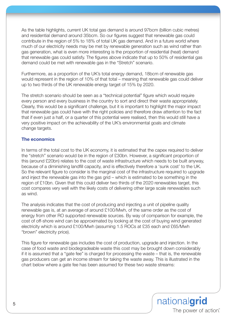As the table highlights, current UK total gas demand is around 97bcm (billion cubic metres) and residential demand around 35bcm. So our figures suggest that renewable gas could contribute in the region of 5% to 18% of total UK gas demand. And in a future world where much of our electricity needs may be met by renewable generation such as wind rather than gas generation, what is even more interesting is the proportion of residential (heat) demand that renewable gas could satisfy. The figures above indicate that up to 50% of residential gas demand could be met with renewable gas in the "Stretch" scenario.

Furthermore, as a proportion of the UK's total energy demand, 18bcm of renewable gas would represent in the region of 10% of that total – meaning that renewable gas could deliver up to two thirds of the UK renewable energy target of 15% by 2020.

The stretch scenario should be seen as a "technical potential" figure which would require every person and every business in the country to sort and direct their waste appropriately. Clearly, this would be a significant challenge, but it is important to highlight the major impact that renewable gas could have with the right policies and therefore draw attention to the fact that if even just a half, or a quarter of this potential were realised, then this would still have a very positive impact on the achievability of the UK's environmental goals and climate change targets.

#### **The economics**

In terms of the total cost to the UK economy, it is estimated that the capex required to deliver the "stretch" scenario would be in the region of £30bn. However, a significant proportion of this (around £20bn) relates to the cost of waste infrastructure which needs to be built anyway, because of a diminishing landfill capacity, and is effectively therefore a 'sunk cost' to the UK. So the relevant figure to consider is the marginal cost of the infrastructure required to upgrade and inject the renewable gas into the gas grid – which is estimated to be something in the region of £10bn. Given that this could deliver two thirds of the 2020 renewables target, this cost compares very well with the likely costs of delivering other large scale renewables such as wind.

The analysis indicates that the cost of producing and injecting a unit of pipeline quality renewable gas is, at an average of around £100/Mwh, of the same order as the cost of energy from other RO supported renewable sources. By way of comparison for example, the cost of off-shore wind can be approximated by looking at the cost of buying wind generated electricity which is around £100/Mwh (assuming 1.5 ROCs at £35 each and £65/Mwh "brown" electricity price).

This figure for renewable gas includes the cost of production, upgrade and injection. In the case of food waste and biodegradeable waste this cost may be brought down considerably if it is assumed that a "gate fee" is charged for processing the waste – that is, the renewable gas producers can get an income stream for taking the waste away. This is illustrated in the chart below where a gate fee has been assumed for these two waste streams: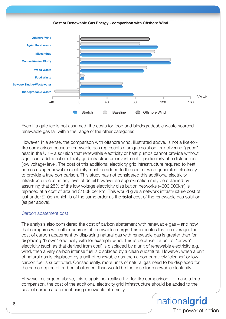



Even if a gate fee is not assumed, the costs for food and biodegradeable waste sourced renewable gas fall within the range of the other categories.

However, in a sense, the comparison with offshore wind, illustrated above, is not a like-forlike comparison because renewable gas represents a unique solution for delivering "green" heat in the UK – a solution that renewable electricity or heat pumps cannot provide without significant additional electricity grid infrastructure investment – particularly at a distribution (low voltage) level. The cost of this additional electricity grid infrastructure required to heat homes using renewable electricity must be added to the cost of wind generated electricity to provide a true comparison. This study has not considered this additional electricity infrastructure cost in any level of detail however an approximation may be obtained by assuming that 25% of the low voltage electricity distribution networks (~300,000km) is replaced at a cost of around £100k per km. This would give a network infrastructure cost of just under £10bn which is of the same order as the **total** cost of the renewable gas solution (as per above).

### Carbon abatement cost

The analysis also considered the cost of carbon abatement with renewable gas – and how that compares with other sources of renewable energy. This indicates that on average, the cost of carbon abatement by displacing natural gas with renewable gas is greater than for displacing "brown" electricity with for example wind. This is because if a unit of "brown" electricity (such as that derived from coal) is displaced by a unit of renewable electricity e.g. wind, then a very carbon intense fuel is displaced by a clean substitute. However, when a unit of natural gas is displaced by a unit of renewable gas then a comparatively 'cleaner' or low carbon fuel is substituted. Consequently, more units of natural gas need to be displaced for the same degree of carbon abatement than would be the case for renewable electricity.

However, as argued above, this is again not really a like-for-like comparison. To make a true comparison, the cost of the additional electricity grid infrastructure should be added to the cost of carbon abatement using renewable electricity.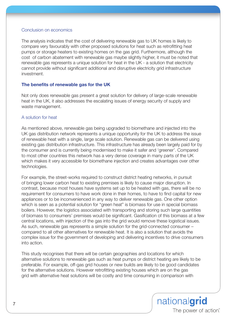#### Conclusion on economics

The analysis indicates that the cost of delivering renewable gas to UK homes is likely to compare very favourably with other proposed solutions for heat such as retrofitting heat pumps or storage heaters to existing homes on the gas grid. Furthermore, although the cost of carbon abatement with renewable gas maybe slightly higher, it must be noted that renewable gas represents a unique solution for heat in the UK - a solution that electricity cannot provide without significant additional and disruptive electricity grid infrastructure investment.

### **The benefits of renewable gas for the UK**

Not only does renewable gas present a great solution for delivery of large-scale renewable heat in the UK, it also addresses the escalating issues of energy security of supply and waste management.

### A solution for heat

As mentioned above, renewable gas being upgraded to biomethane and injected into the UK gas distribution network represents a unique opportunity for the UK to address the issue of renewable heat with a single, large scale solution. Renewable gas can be delivered using existing gas distribution infrastructure. This infrastructure has already been largely paid for by the consumer and is currently being modernised to make it safer and 'greener'. Compared to most other countries this network has a very dense coverage in many parts of the UK which makes it very accessible for biomethane injection and creates advantages over other technologies.

For example, the street-works required to construct district heating networks, in pursuit of bringing lower carbon heat to existing premises is likely to cause major disruption. In contrast, because most houses have systems set up to be heated with gas, there will be no requirement for consumers to have work done in their homes, to have to find capital for new appliances or to be inconvenienced in any way to deliver renewable gas. One other option which is seen as a potential solution for "green heat" is biomass for use in special biomass boilers. However, the logistics associated with transporting and storing such large quantities of biomass to consumers' premises would be significant. Gasification of this biomass at a few central locations, with injection of the gas into the grid would remove these logistical issues. As such, renewable gas represents a simple solution for the grid-connected consumer – compared to all other alternatives for renewable heat. It is also a solution that avoids the complex issue for the government of developing and delivering incentives to drive consumers into action.

This study recognises that there will be certain geographies and locations for which alternative solutions to renewable gas such as heat pumps or district heating are likely to be preferable. For example, off-gas grid houses or new builds are likely to be good candidates for the alternative solutions. However retrofitting existing houses which are on the gas grid with alternative heat solutions will be costly and time consuming in comparison with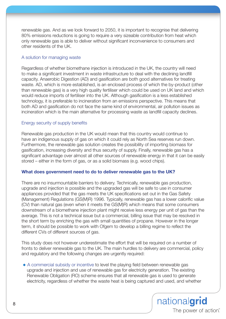renewable gas. And as we look forward to 2050, it is important to recognise that delivering 80% emissions reductions is going to require a very sizeable contribution from heat which only renewable gas is able to deliver without significant inconvenience to consumers and other residents of the UK.

#### A solution for managing waste

Regardless of whether biomethane injection is introduced in the UK, the country will need to make a significant investment in waste infrastructure to deal with the declining landfill capacity. Anaerobic Digestion (AD) and gasification are both good alternatives for treating waste. AD, which is more established, is an enclosed process of which the by-product (other than renewable gas) is a very high quality fertiliser which could be used on UK land and which would reduce imports of fertiliser into the UK. Although gasification is a less established technology, it is preferable to incineration from an emissions perspective. This means that both AD and gasification do not face the same kind of environmental, air pollution issues as incineration which is the main alternative for processing waste as landfill capacity declines.

#### Energy security of supply benefits

Renewable gas production in the UK would mean that this country would continue to have an indigenous supply of gas on which it could rely as North Sea reserves run down. Furthermore, the renewable gas solution creates the possibility of importing biomass for gasification, increasing diversity and thus security of supply. Finally, renewable gas has a significant advantage over almost all other sources of renewable energy in that it can be easily stored – either in the form of gas, or as a solid biomass (e.g. wood chips).

#### **What does government need to do to deliver renewable gas to the UK?**

There are no insurmountable barriers to delivery. Technically, renewable gas production, upgrade and injection is possible and the upgraded gas will be safe to use in consumer appliances provided that the gas meets the UK specifications set out in the Gas Safety (Management) Regulations (GS(M)R) 1996. Typically, renewable gas has a lower calorific value (CV) than natural gas (even when it meets the GS(M)R) which means that some consumers downstream of a biomethane injection plant might receive less energy per unit of gas than the average. This is not a technical issue but a commercial, billing issue that may be resolved in the short term by enriching the gas with small quantities of propane. However in the longer term, it should be possible to work with Ofgem to develop a billing regime to reflect the different CVs of different sources of gas.

This study does not however underestimate the effort that will be required on a number of fronts to deliver renewable gas to the UK. The main hurdles to delivery are commercial, policy and regulatory and the following changes are urgently required:

◆ A commercial subsidy or incentive to level the playing field between renewable gas upgrade and injection and use of renewable gas for electricity generation. The existing Renewable Obligation (RO) scheme ensures that all renewable gas is used to generate electricity, regardless of whether the waste heat is being captured and used, and whether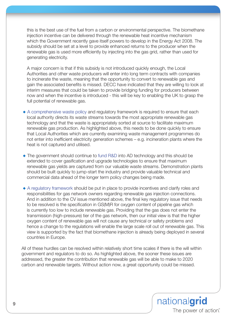this is the best use of the fuel from a carbon or environmental perspective. The biomethane injection incentive can be delivered through the renewable heat incentive mechanism which the Government recently gave itself powers to develop in the Energy Act 2008. The subsidy should be set at a level to provide enhanced returns to the producer when the renewable gas is used more efficiently by injecting into the gas grid, rather than used for generating electricity.

A major concern is that if this subsidy is not introduced quickly enough, the Local Authorities and other waste producers will enter into long term contracts with companies to incinerate the waste, meaning that the opportunity to convert to renewable gas and gain the associated benefits is missed. DECC have indicated that they are willing to look at interim measures that could be taken to provide bridging funding for producers between now and when the incentive is introduced - this will be key to enabling the UK to grasp the full potential of renewable gas.

- ◆ A comprehensive waste policy and regulatory framework is required to ensure that each local authority directs its waste streams towards the most appropriate renewable gas technology and that the waste is appropriately sorted at source to facilitate maximum renewable gas production. As highlighted above, this needs to be done quickly to ensure that Local Authorities which are currently examining waste management programmes do not enter into inefficient electricity generation schemes – e.g. incineration plants where the heat is not captured and utilised.
- ◆ The government should continue to fund R&D into AD technology and this should be extended to cover gasification and upgrade technologies to ensure that maximum renewable gas yields are captured from our valuable waste streams. Demonstration plants should be built quickly to jump-start the industry and provide valuable technical and commercial data ahead of the longer term policy changes being made.
- ◆ A regulatory framework should be put in place to provide incentives and clarify roles and responsibilities for gas network owners regarding renewable gas injection connections. And in addition to the CV issue mentioned above, the final key regulatory issue that needs to be resolved is the specification in GS(M)R for oxygen content of pipeline gas which is currently too low to include renewable gas. Providing that the gas does not enter the transmission (high-pressure) tier of the gas network, then our initial view is that the higher oxygen content of renewable gas will not cause any technical or safety problems and hence a change to the regulations will enable the large scale roll out of renewable gas. This view is supported by the fact that biomethane injection is already being deployed in several countries in Europe.

All of these hurdles can be resolved within relatively short time scales if there is the will within government and regulators to do so. As highlighted above, the sooner these issues are addressed, the greater the contribution that renewable gas will be able to make to 2020 carbon and renewable targets. Without action now, a great opportunity could be missed.